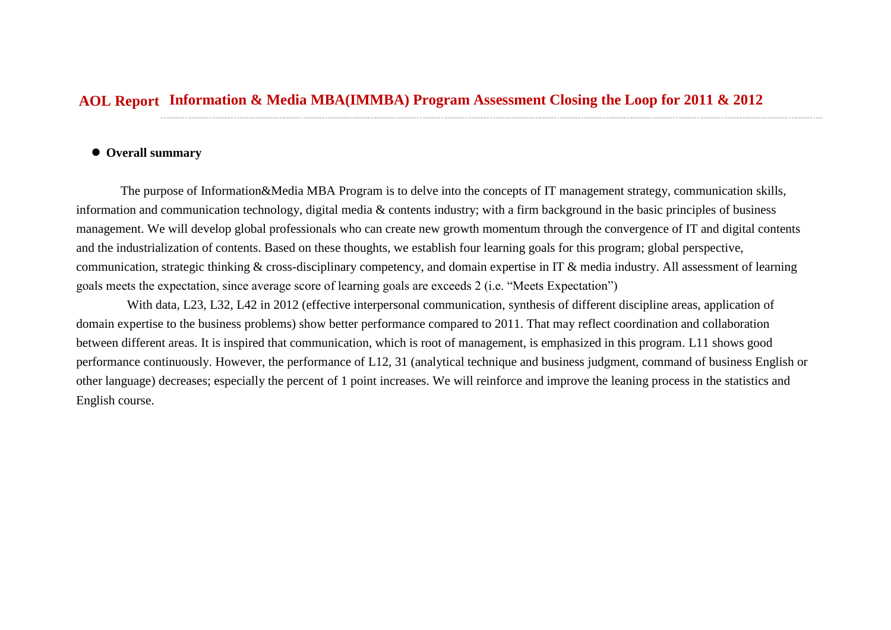## **Information & Media MBA(IMMBA) Program Assessment Closing the Loop for 2011 & 2012 AOL Report**

## **Overall summary**

The purpose of Information&Media MBA Program is to delve into the concepts of IT management strategy, communication skills, information and communication technology, digital media & contents industry; with a firm background in the basic principles of business management. We will develop global professionals who can create new growth momentum through the convergence of IT and digital contents and the industrialization of contents. Based on these thoughts, we establish four learning goals for this program; global perspective, communication, strategic thinking & cross-disciplinary competency, and domain expertise in IT & media industry. All assessment of learning goals meets the expectation, since average score of learning goals are exceeds 2 (i.e. "Meets Expectation")

With data, L23, L32, L42 in 2012 (effective interpersonal communication, synthesis of different discipline areas, application of domain expertise to the business problems) show better performance compared to 2011. That may reflect coordination and collaboration between different areas. It is inspired that communication, which is root of management, is emphasized in this program. L11 shows good performance continuously. However, the performance of L12, 31 (analytical technique and business judgment, command of business English or other language) decreases; especially the percent of 1 point increases. We will reinforce and improve the leaning process in the statistics and English course.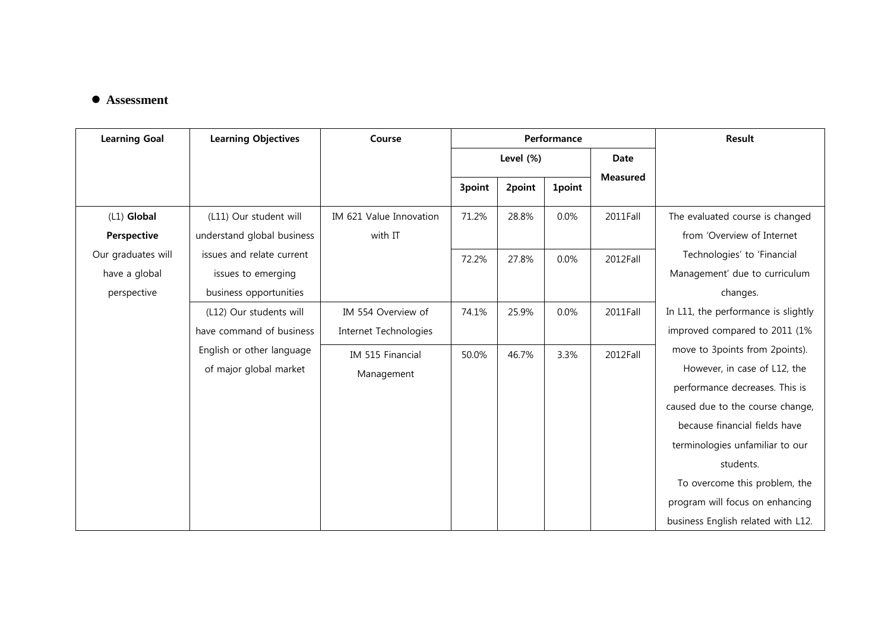## **Assessment**

| <b>Learning Objectives</b>                                                | Course                                      | Performance |        |               |                 | Result                                                                                                                                                                                                                                                                                                                          |
|---------------------------------------------------------------------------|---------------------------------------------|-------------|--------|---------------|-----------------|---------------------------------------------------------------------------------------------------------------------------------------------------------------------------------------------------------------------------------------------------------------------------------------------------------------------------------|
|                                                                           |                                             | Level (%)   |        |               | Date            |                                                                                                                                                                                                                                                                                                                                 |
|                                                                           |                                             | 3point      | 2point | <b>1point</b> | <b>Measured</b> |                                                                                                                                                                                                                                                                                                                                 |
| (L11) Our student will                                                    | IM 621 Value Innovation                     | 71.2%       | 28.8%  | 0.0%          | 2011Fall        | The evaluated course is changed                                                                                                                                                                                                                                                                                                 |
| understand global business                                                | with IT                                     |             |        |               |                 | from 'Overview of Internet                                                                                                                                                                                                                                                                                                      |
| issues and relate current<br>issues to emerging<br>business opportunities |                                             | 72.2%       | 27.8%  | 0.0%          | 2012Fall        | Technologies' to 'Financial<br>Management' due to curriculum<br>changes.                                                                                                                                                                                                                                                        |
| (L12) Our students will<br>have command of business                       | IM 554 Overview of<br>Internet Technologies | 74.1%       | 25.9%  | 0.0%          | 2011Fall        | In L11, the performance is slightly<br>improved compared to 2011 (1%                                                                                                                                                                                                                                                            |
| English or other language<br>of major global market                       | IM 515 Financial<br>Management              | 50.0%       | 46.7%  | 3.3%          | 2012Fall        | move to 3points from 2points).<br>However, in case of L12, the<br>performance decreases. This is<br>caused due to the course change,<br>because financial fields have<br>terminologies unfamiliar to our<br>students.<br>To overcome this problem, the<br>program will focus on enhancing<br>business English related with L12. |
|                                                                           |                                             |             |        |               |                 |                                                                                                                                                                                                                                                                                                                                 |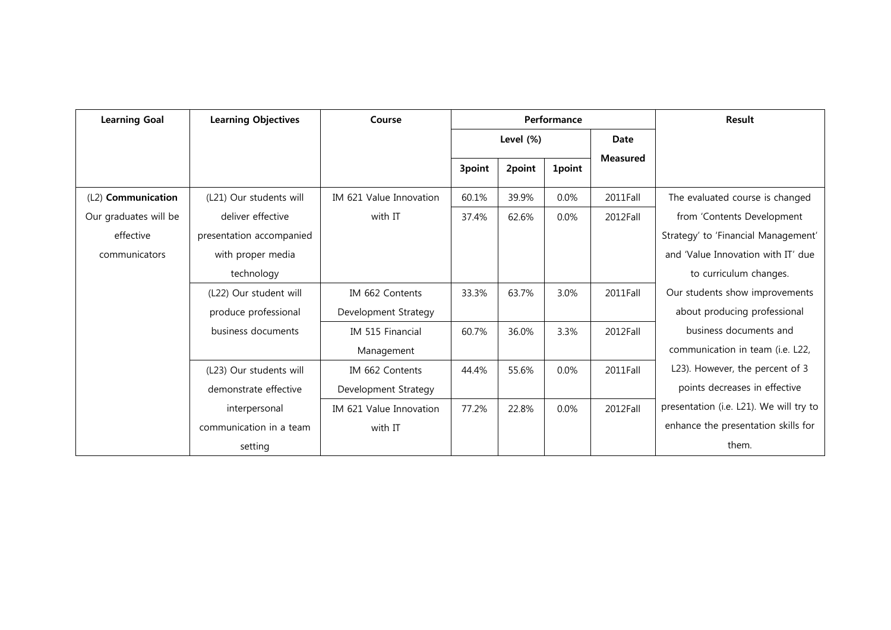| <b>Learning Goal</b>  | <b>Learning Objectives</b> | Course                  | Performance |        |               | <b>Result</b>   |                                         |
|-----------------------|----------------------------|-------------------------|-------------|--------|---------------|-----------------|-----------------------------------------|
|                       |                            |                         | Level (%)   |        |               | <b>Date</b>     |                                         |
|                       |                            |                         | 3point      | 2point | <b>1point</b> | <b>Measured</b> |                                         |
| (L2) Communication    | (L21) Our students will    | IM 621 Value Innovation | 60.1%       | 39.9%  | 0.0%          | 2011Fall        | The evaluated course is changed         |
| Our graduates will be | deliver effective          | with IT                 | 37.4%       | 62.6%  | $0.0\%$       | 2012Fall        | from 'Contents Development              |
| effective             | presentation accompanied   |                         |             |        |               |                 | Strategy' to 'Financial Management'     |
| communicators         | with proper media          |                         |             |        |               |                 | and 'Value Innovation with IT' due      |
|                       | technology                 |                         |             |        |               |                 | to curriculum changes.                  |
|                       | (L22) Our student will     | IM 662 Contents         | 33.3%       | 63.7%  | 3.0%          | 2011Fall        | Our students show improvements          |
|                       | produce professional       | Development Strategy    |             |        |               |                 | about producing professional            |
|                       | business documents         | IM 515 Financial        | 60.7%       | 36.0%  | 3.3%          | 2012Fall        | business documents and                  |
|                       |                            | Management              |             |        |               |                 | communication in team (i.e. L22,        |
|                       | (L23) Our students will    | IM 662 Contents         | 44.4%       | 55.6%  | 0.0%          | 2011Fall        | L23). However, the percent of 3         |
|                       | demonstrate effective      | Development Strategy    |             |        |               |                 | points decreases in effective           |
|                       | interpersonal              | IM 621 Value Innovation | 77.2%       | 22.8%  | $0.0\%$       | 2012Fall        | presentation (i.e. L21). We will try to |
|                       | communication in a team    | with IT                 |             |        |               |                 | enhance the presentation skills for     |
|                       | setting                    |                         |             |        |               |                 | them.                                   |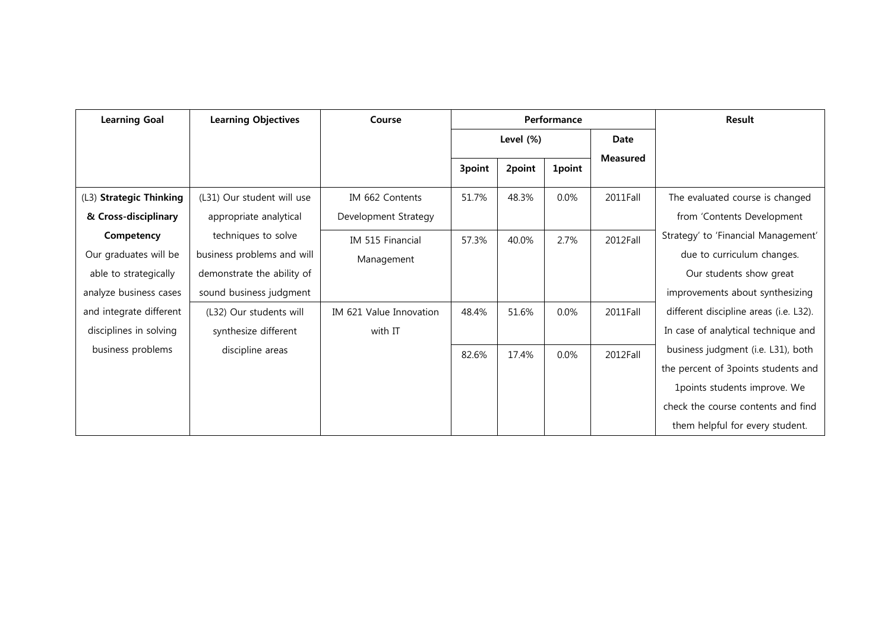| <b>Learning Goal</b>                                                                   | <b>Learning Objectives</b>                                                                                 | Course                             | Performance |        |               |                 | Result                                                                                                                                       |
|----------------------------------------------------------------------------------------|------------------------------------------------------------------------------------------------------------|------------------------------------|-------------|--------|---------------|-----------------|----------------------------------------------------------------------------------------------------------------------------------------------|
|                                                                                        |                                                                                                            |                                    | Level (%)   |        |               | Date            |                                                                                                                                              |
|                                                                                        |                                                                                                            |                                    | 3point      | 2point | <b>1point</b> | <b>Measured</b> |                                                                                                                                              |
| (L3) Strategic Thinking                                                                | (L31) Our student will use                                                                                 | IM 662 Contents                    | 51.7%       | 48.3%  | $0.0\%$       | 2011Fall        | The evaluated course is changed                                                                                                              |
| & Cross-disciplinary                                                                   | appropriate analytical                                                                                     | Development Strategy               |             |        |               |                 | from 'Contents Development                                                                                                                   |
| Competency<br>Our graduates will be<br>able to strategically<br>analyze business cases | techniques to solve<br>business problems and will<br>demonstrate the ability of<br>sound business judgment | IM 515 Financial<br>Management     | 57.3%       | 40.0%  | 2.7%          | 2012Fall        | Strategy' to 'Financial Management'<br>due to curriculum changes.<br>Our students show great<br>improvements about synthesizing              |
| and integrate different<br>disciplines in solving<br>business problems                 | (L32) Our students will<br>synthesize different<br>discipline areas                                        | IM 621 Value Innovation<br>with IT | 48.4%       | 51.6%  | 0.0%          | 2011Fall        | different discipline areas (i.e. L32).<br>In case of analytical technique and<br>business judgment (i.e. L31), both                          |
|                                                                                        |                                                                                                            |                                    | 82.6%       | 17.4%  | $0.0\%$       | 2012Fall        | the percent of 3points students and<br>1points students improve. We<br>check the course contents and find<br>them helpful for every student. |